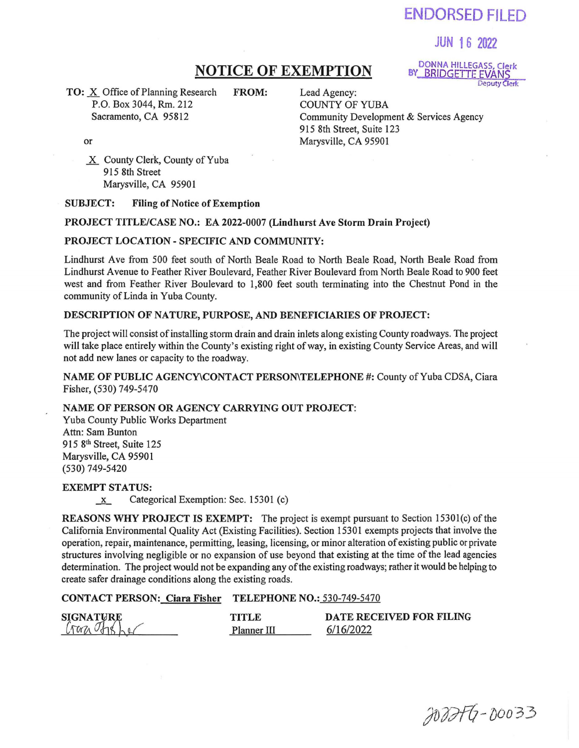# ENDORSED FILED

## JUN 16 2022

TO: X Office of Planning Research FROM: Lead Agency:<br>P.O. Box 3044, Rm. 212 COUNTY OF YUBA P.O. Box 3044, Rm. 212<br>Sacramento, CA 95812

NOTICE OF EXEMPTION BY BRIDGETTE EVANS BY\_BRIDGETTE EVANS

> Community Development & Services Agency 915 8th Street, Suite 123 Marysville, CA 95901

or

X County Clerk, County of Yuba 915 8th Street Marysville, CA 95901

#### SUBJECT: Filing of Notice of Exemption

#### PROJECT TITLE/CASE NO.: EA 2022-0007 (Lindhurst Ave Storm Drain Project)

#### PROJECT LOCATION- SPECIFIC AND COMMUNITY:

Lindhurst Ave from 500 feet south of North Beale Road to North Beale Road, North Beale Road from Lindhurst Avenue to Feather River Boulevard, Feather River Boulevard from North Beale Road to 900 feet west and from Feather River Boulevard to 1,800 feet south terminating into the Chestnut Pond in the community of Linda in Yuba County.

#### DESCRIPTION OF NATURE, PURPOSE, AND BENEFICIARIES OF PROJECT:

The project will consist of installing storm drain and drain inlets along existing County roadways. The project will take place entirely within the County's existing right of way, in existing County Service Areas, and will not add new lanes or capacity to the roadway.

NAME OF PUBLIC AGENCY\CONTACT PERSON\TELEPHONE #: County of Yuba CDSA, Ciara Fisher, (530) 749-5470

#### NAME OF PERSON OR AGENCY CARRYING OUT PROJECT:

Yuba County Public Works Department Attn: Sam Bunton 915 8<sup>th</sup> Street, Suite 125 Marysville, CA 95901 (530) 749-5420

#### EXEMPT STATUS:

 $x$  Categorical Exemption: Sec. 15301 (c)

REASONS WHY PROJECT IS EXEMPT: The project is exempt pursuant to Section 15301(c) of the California Environmental Quality Act (Existing Facilities). Section 15301 exempts projects that involve the operation, repair, maintenance, permitting, leasing, licensing, or minor alteration of existing public or private structures involving negligible or no expansion of use beyond that existing at the time of the lead agencies determination. The project would not be expanding any of the existing roadways; rather it would be helping to create safer drainage conditions along the existing roads.

### CONTACT PERSON: Ciara Fisher TELEPHONE NO.: 530-749-5470

| <b>SIGNATURE</b><br>Craz Theher | TITI E      | DATE RECEIVED FOR FILING |
|---------------------------------|-------------|--------------------------|
|                                 | Planner III | 6/16/2022                |

JOBITG-D0033